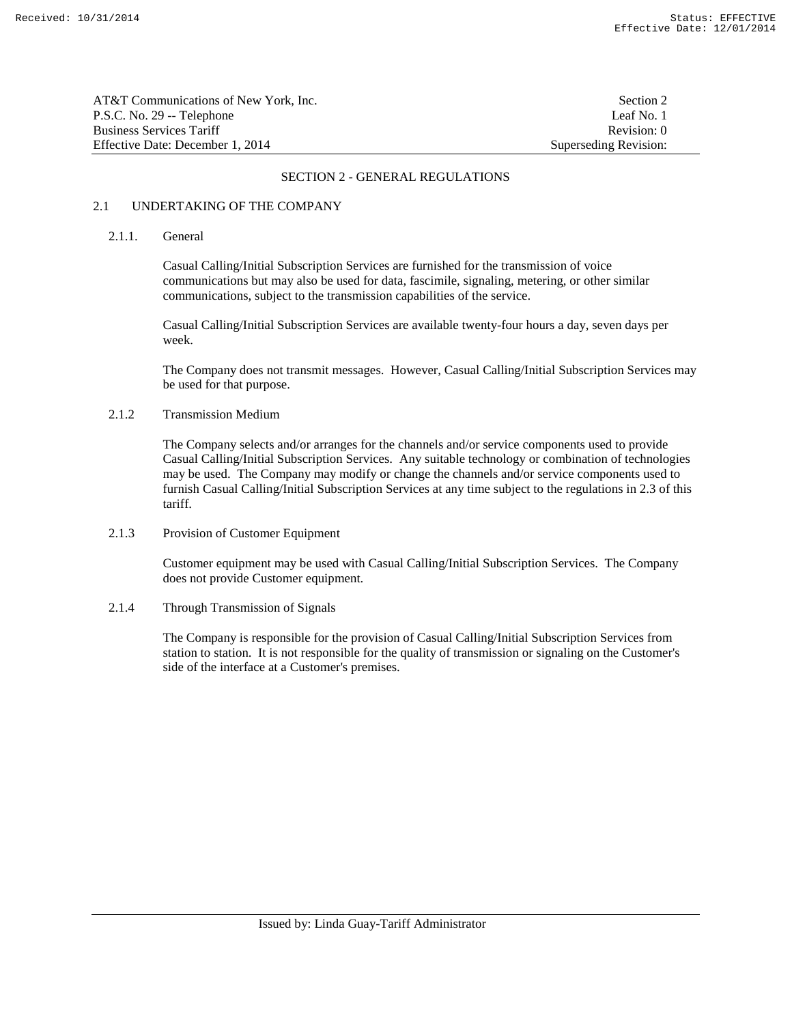| AT&T Communications of New York. Inc. | Section 2             |
|---------------------------------------|-----------------------|
| P.S.C. No. 29 -- Telephone            | Leaf No. 1            |
| Business Services Tariff              | Revision: 0           |
| Effective Date: December 1, 2014      | Superseding Revision: |

### 2.1 UNDERTAKING OF THE COMPANY

### 2.1.1. General

 Casual Calling/Initial Subscription Services are furnished for the transmission of voice communications but may also be used for data, fascimile, signaling, metering, or other similar communications, subject to the transmission capabilities of the service.

 Casual Calling/Initial Subscription Services are available twenty-four hours a day, seven days per week.

 The Company does not transmit messages. However, Casual Calling/Initial Subscription Services may be used for that purpose.

#### 2.1.2 Transmission Medium

 The Company selects and/or arranges for the channels and/or service components used to provide Casual Calling/Initial Subscription Services. Any suitable technology or combination of technologies may be used. The Company may modify or change the channels and/or service components used to furnish Casual Calling/Initial Subscription Services at any time subject to the regulations in 2.3 of this tariff.

#### 2.1.3 Provision of Customer Equipment

 Customer equipment may be used with Casual Calling/Initial Subscription Services. The Company does not provide Customer equipment.

#### 2.1.4 Through Transmission of Signals

 The Company is responsible for the provision of Casual Calling/Initial Subscription Services from station to station. It is not responsible for the quality of transmission or signaling on the Customer's side of the interface at a Customer's premises.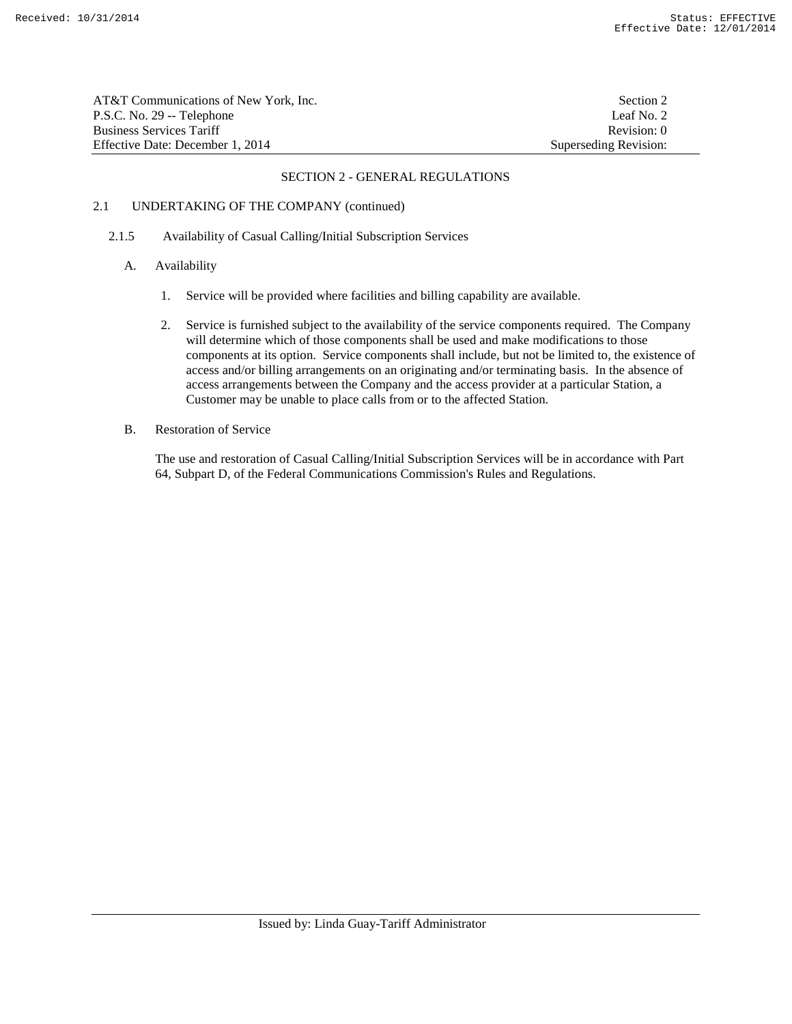AT&T Communications of New York, Inc. Section 2 P.S.C. No. 29 -- Telephone Leaf No. 2 Business Services Tariff **Revision:** 0 Effective Date: December 1, 2014 Superseding Revision:

#### SECTION 2 - GENERAL REGULATIONS

## 2.1 UNDERTAKING OF THE COMPANY (continued)

### 2.1.5 Availability of Casual Calling/Initial Subscription Services

- A. Availability
	- 1. Service will be provided where facilities and billing capability are available.
	- 2. Service is furnished subject to the availability of the service components required. The Company will determine which of those components shall be used and make modifications to those components at its option. Service components shall include, but not be limited to, the existence of access and/or billing arrangements on an originating and/or terminating basis. In the absence of access arrangements between the Company and the access provider at a particular Station, a Customer may be unable to place calls from or to the affected Station.
- B. Restoration of Service

 The use and restoration of Casual Calling/Initial Subscription Services will be in accordance with Part 64, Subpart D, of the Federal Communications Commission's Rules and Regulations.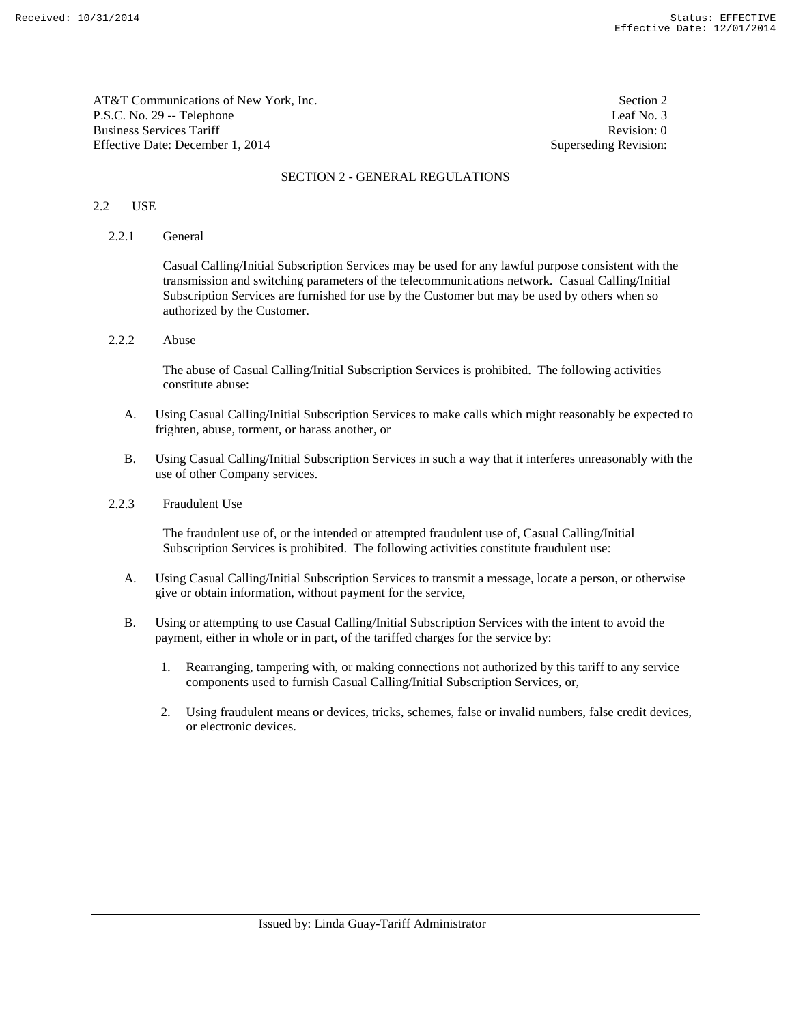| AT&T Communications of New York. Inc. | Section 2             |
|---------------------------------------|-----------------------|
| P.S.C. No. 29 -- Telephone            | Leaf No. 3            |
| Business Services Tariff              | Revision: 0           |
| Effective Date: December 1, 2014      | Superseding Revision: |

## 2.2 USE

### 2.2.1 General

 Casual Calling/Initial Subscription Services may be used for any lawful purpose consistent with the transmission and switching parameters of the telecommunications network. Casual Calling/Initial Subscription Services are furnished for use by the Customer but may be used by others when so authorized by the Customer.

2.2.2 Abuse

 The abuse of Casual Calling/Initial Subscription Services is prohibited. The following activities constitute abuse:

- A. Using Casual Calling/Initial Subscription Services to make calls which might reasonably be expected to frighten, abuse, torment, or harass another, or
- B. Using Casual Calling/Initial Subscription Services in such a way that it interferes unreasonably with the use of other Company services.

### 2.2.3 Fraudulent Use

 The fraudulent use of, or the intended or attempted fraudulent use of, Casual Calling/Initial Subscription Services is prohibited. The following activities constitute fraudulent use:

- A. Using Casual Calling/Initial Subscription Services to transmit a message, locate a person, or otherwise give or obtain information, without payment for the service,
- B. Using or attempting to use Casual Calling/Initial Subscription Services with the intent to avoid the payment, either in whole or in part, of the tariffed charges for the service by:
	- 1. Rearranging, tampering with, or making connections not authorized by this tariff to any service components used to furnish Casual Calling/Initial Subscription Services, or,
	- 2. Using fraudulent means or devices, tricks, schemes, false or invalid numbers, false credit devices, or electronic devices.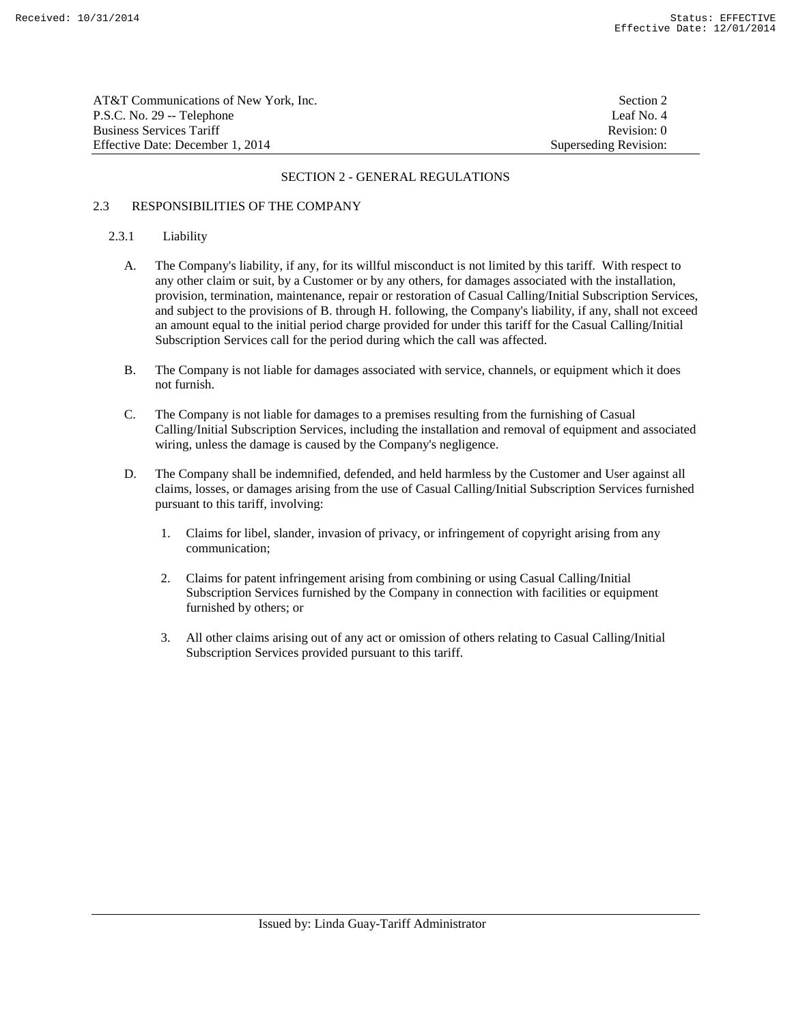| AT&T Communications of New York. Inc. | Section 2             |
|---------------------------------------|-----------------------|
| P.S.C. No. 29 -- Telephone            | Leaf No. 4            |
| Business Services Tariff              | Revision: 0           |
| Effective Date: December 1. 2014      | Superseding Revision: |

### 2.3 RESPONSIBILITIES OF THE COMPANY

## 2.3.1 Liability

- A. The Company's liability, if any, for its willful misconduct is not limited by this tariff. With respect to any other claim or suit, by a Customer or by any others, for damages associated with the installation, provision, termination, maintenance, repair or restoration of Casual Calling/Initial Subscription Services, and subject to the provisions of B. through H. following, the Company's liability, if any, shall not exceed an amount equal to the initial period charge provided for under this tariff for the Casual Calling/Initial Subscription Services call for the period during which the call was affected.
- B. The Company is not liable for damages associated with service, channels, or equipment which it does not furnish.
- C. The Company is not liable for damages to a premises resulting from the furnishing of Casual Calling/Initial Subscription Services, including the installation and removal of equipment and associated wiring, unless the damage is caused by the Company's negligence.
- D. The Company shall be indemnified, defended, and held harmless by the Customer and User against all claims, losses, or damages arising from the use of Casual Calling/Initial Subscription Services furnished pursuant to this tariff, involving:
	- 1. Claims for libel, slander, invasion of privacy, or infringement of copyright arising from any communication;
	- 2. Claims for patent infringement arising from combining or using Casual Calling/Initial Subscription Services furnished by the Company in connection with facilities or equipment furnished by others; or
	- 3. All other claims arising out of any act or omission of others relating to Casual Calling/Initial Subscription Services provided pursuant to this tariff.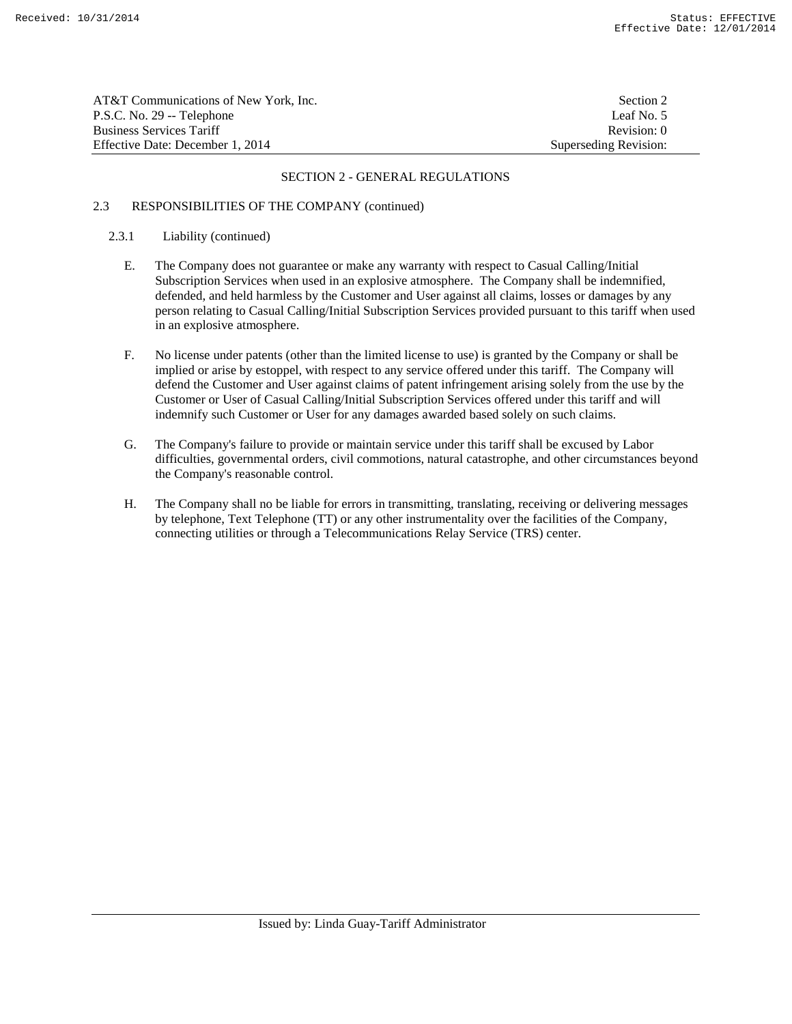| AT&T Communications of New York, Inc. | Section 2             |
|---------------------------------------|-----------------------|
| P.S.C. No. 29 -- Telephone            | Leaf No. 5            |
| <b>Business Services Tariff</b>       | Revision: 0           |
| Effective Date: December 1, 2014      | Superseding Revision: |

### 2.3 RESPONSIBILITIES OF THE COMPANY (continued)

## 2.3.1 Liability (continued)

- E. The Company does not guarantee or make any warranty with respect to Casual Calling/Initial Subscription Services when used in an explosive atmosphere. The Company shall be indemnified, defended, and held harmless by the Customer and User against all claims, losses or damages by any person relating to Casual Calling/Initial Subscription Services provided pursuant to this tariff when used in an explosive atmosphere.
- F. No license under patents (other than the limited license to use) is granted by the Company or shall be implied or arise by estoppel, with respect to any service offered under this tariff. The Company will defend the Customer and User against claims of patent infringement arising solely from the use by the Customer or User of Casual Calling/Initial Subscription Services offered under this tariff and will indemnify such Customer or User for any damages awarded based solely on such claims.
- G. The Company's failure to provide or maintain service under this tariff shall be excused by Labor difficulties, governmental orders, civil commotions, natural catastrophe, and other circumstances beyond the Company's reasonable control.
- H. The Company shall no be liable for errors in transmitting, translating, receiving or delivering messages by telephone, Text Telephone (TT) or any other instrumentality over the facilities of the Company, connecting utilities or through a Telecommunications Relay Service (TRS) center.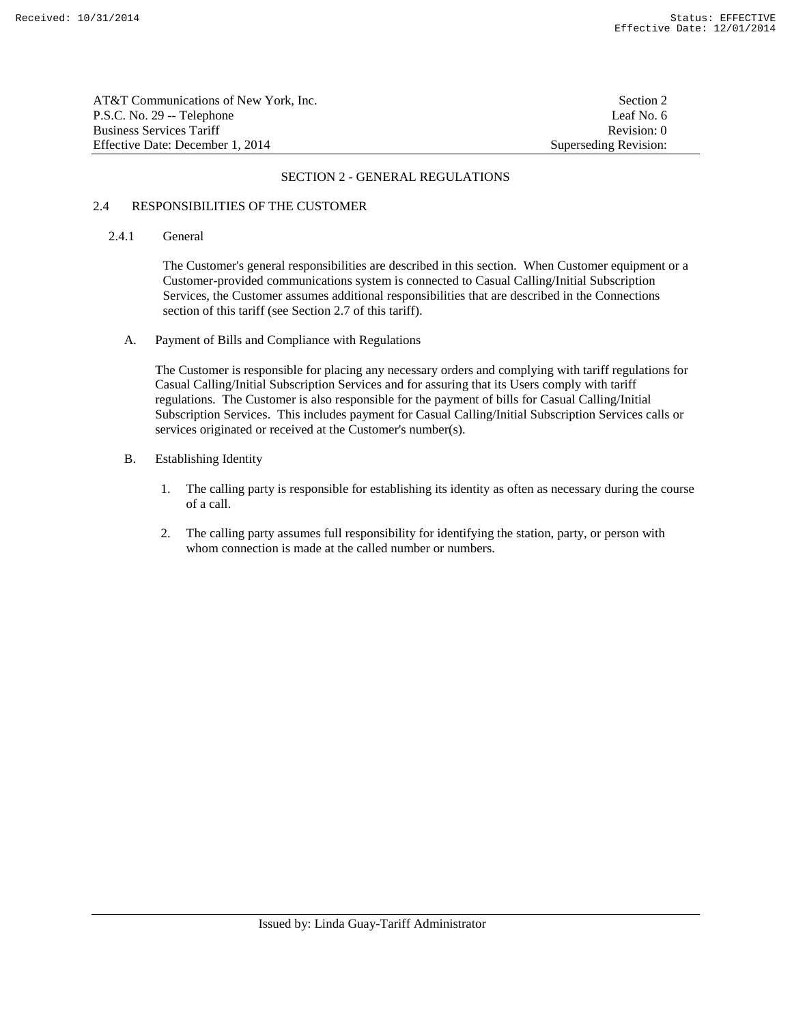| AT&T Communications of New York, Inc. | Section 2             |
|---------------------------------------|-----------------------|
| P.S.C. No. 29 -- Telephone            | Leaf No. 6            |
| <b>Business Services Tariff</b>       | Revision: 0           |
| Effective Date: December 1. 2014      | Superseding Revision: |

### 2.4 RESPONSIBILITIES OF THE CUSTOMER

### 2.4.1 General

 The Customer's general responsibilities are described in this section. When Customer equipment or a Customer-provided communications system is connected to Casual Calling/Initial Subscription Services, the Customer assumes additional responsibilities that are described in the Connections section of this tariff (see Section 2.7 of this tariff).

A. Payment of Bills and Compliance with Regulations

 The Customer is responsible for placing any necessary orders and complying with tariff regulations for Casual Calling/Initial Subscription Services and for assuring that its Users comply with tariff regulations. The Customer is also responsible for the payment of bills for Casual Calling/Initial Subscription Services. This includes payment for Casual Calling/Initial Subscription Services calls or services originated or received at the Customer's number(s).

- B. Establishing Identity
	- 1. The calling party is responsible for establishing its identity as often as necessary during the course of a call.
	- 2. The calling party assumes full responsibility for identifying the station, party, or person with whom connection is made at the called number or numbers.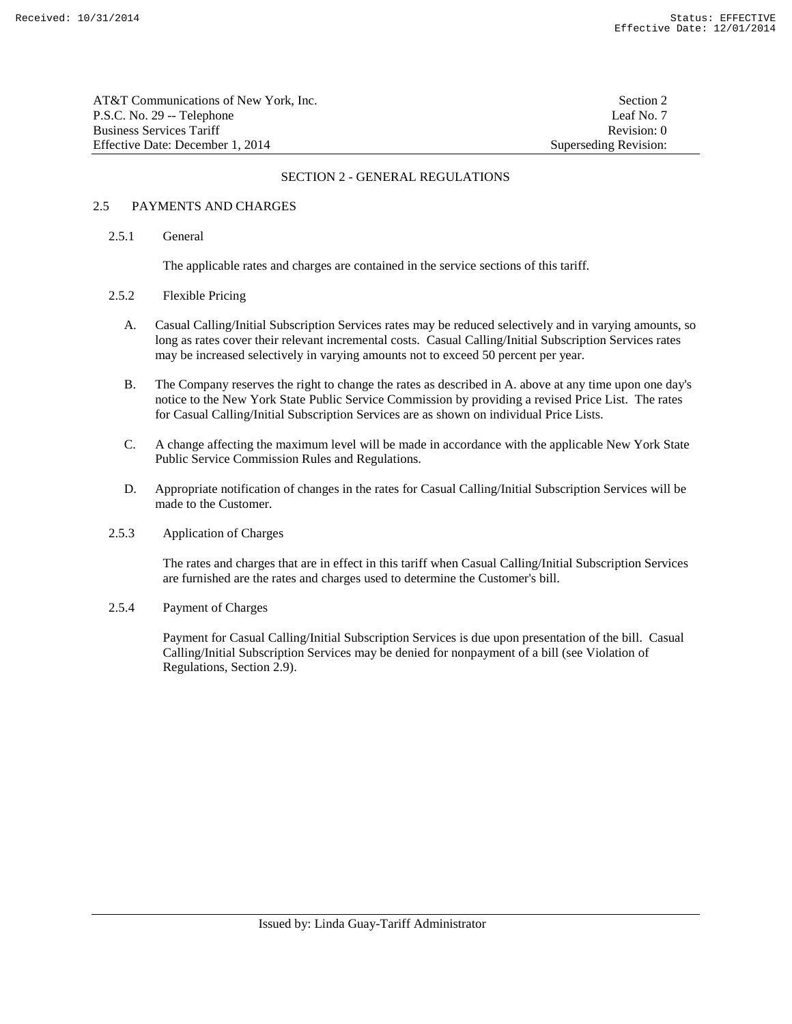| AT&T Communications of New York. Inc. | Section 2             |
|---------------------------------------|-----------------------|
| P.S.C. No. 29 -- Telephone            | Leaf No. 7            |
| Business Services Tariff              | Revision: 0           |
| Effective Date: December 1, 2014      | Superseding Revision: |

### 2.5 PAYMENTS AND CHARGES

### 2.5.1 General

The applicable rates and charges are contained in the service sections of this tariff.

### 2.5.2 Flexible Pricing

- A. Casual Calling/Initial Subscription Services rates may be reduced selectively and in varying amounts, so long as rates cover their relevant incremental costs. Casual Calling/Initial Subscription Services rates may be increased selectively in varying amounts not to exceed 50 percent per year.
- B. The Company reserves the right to change the rates as described in A. above at any time upon one day's notice to the New York State Public Service Commission by providing a revised Price List. The rates for Casual Calling/Initial Subscription Services are as shown on individual Price Lists.
- C. A change affecting the maximum level will be made in accordance with the applicable New York State Public Service Commission Rules and Regulations.
- D. Appropriate notification of changes in the rates for Casual Calling/Initial Subscription Services will be made to the Customer.

## 2.5.3 Application of Charges

 The rates and charges that are in effect in this tariff when Casual Calling/Initial Subscription Services are furnished are the rates and charges used to determine the Customer's bill.

#### 2.5.4 Payment of Charges

 Payment for Casual Calling/Initial Subscription Services is due upon presentation of the bill. Casual Calling/Initial Subscription Services may be denied for nonpayment of a bill (see Violation of Regulations, Section 2.9).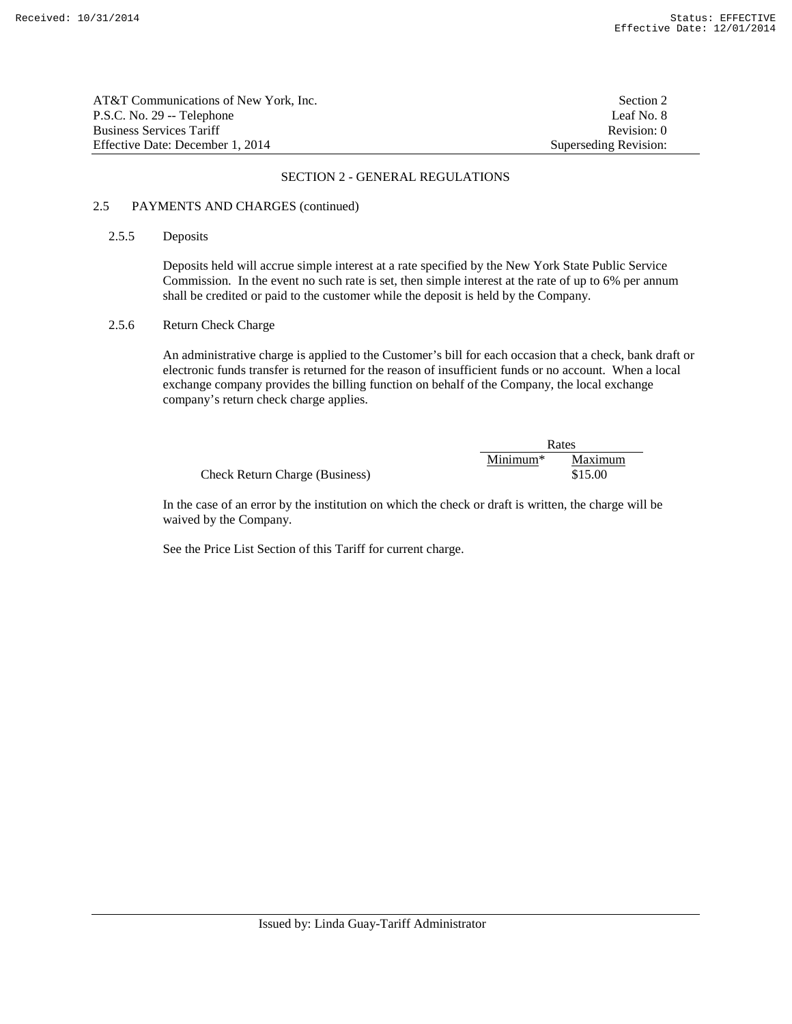| AT&T Communications of New York. Inc. | Section 2             |
|---------------------------------------|-----------------------|
| P.S.C. No. 29 -- Telephone            | Leaf No. 8            |
| <b>Business Services Tariff</b>       | Revision: 0           |
| Effective Date: December 1, 2014      | Superseding Revision: |

## 2.5 PAYMENTS AND CHARGES (continued)

## 2.5.5 Deposits

 Deposits held will accrue simple interest at a rate specified by the New York State Public Service Commission. In the event no such rate is set, then simple interest at the rate of up to 6% per annum shall be credited or paid to the customer while the deposit is held by the Company.

### 2.5.6 Return Check Charge

 An administrative charge is applied to the Customer's bill for each occasion that a check, bank draft or electronic funds transfer is returned for the reason of insufficient funds or no account. When a local exchange company provides the billing function on behalf of the Company, the local exchange company's return check charge applies.

|                                       | Rates      |         |
|---------------------------------------|------------|---------|
|                                       | $Minimum*$ | Maximum |
| <b>Check Return Charge (Business)</b> |            | \$15.00 |

 In the case of an error by the institution on which the check or draft is written, the charge will be waived by the Company.

See the Price List Section of this Tariff for current charge.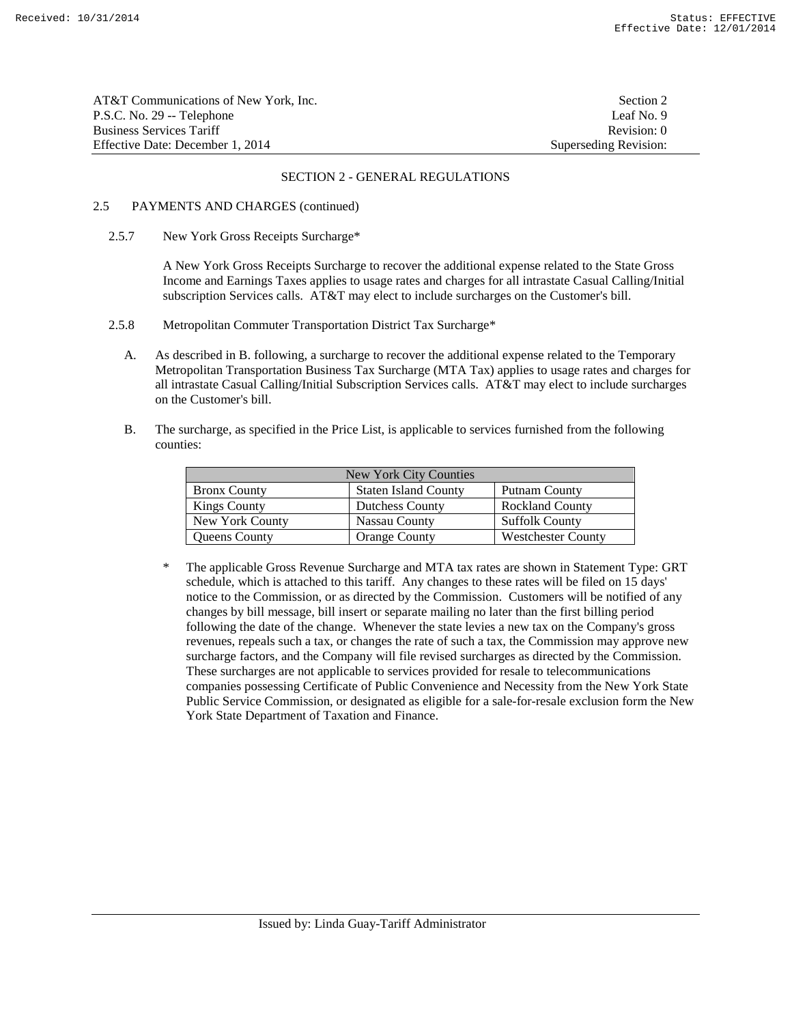| AT&T Communications of New York, Inc. | Section 2             |
|---------------------------------------|-----------------------|
| P.S.C. No. 29 -- Telephone            | Leaf No. 9            |
| <b>Business Services Tariff</b>       | Revision: 0           |
| Effective Date: December 1, 2014      | Superseding Revision: |

### 2.5 PAYMENTS AND CHARGES (continued)

2.5.7 New York Gross Receipts Surcharge\*

 A New York Gross Receipts Surcharge to recover the additional expense related to the State Gross Income and Earnings Taxes applies to usage rates and charges for all intrastate Casual Calling/Initial subscription Services calls. AT&T may elect to include surcharges on the Customer's bill.

- 2.5.8 Metropolitan Commuter Transportation District Tax Surcharge\*
	- A. As described in B. following, a surcharge to recover the additional expense related to the Temporary Metropolitan Transportation Business Tax Surcharge (MTA Tax) applies to usage rates and charges for all intrastate Casual Calling/Initial Subscription Services calls. AT&T may elect to include surcharges on the Customer's bill.
	- B. The surcharge, as specified in the Price List, is applicable to services furnished from the following counties:

| New York City Counties |                             |                           |
|------------------------|-----------------------------|---------------------------|
| <b>Bronx County</b>    | <b>Staten Island County</b> | Putnam County             |
| <b>Kings County</b>    | <b>Dutchess County</b>      | <b>Rockland County</b>    |
| New York County        | Nassau County               | <b>Suffolk County</b>     |
| Queens County          | <b>Orange County</b>        | <b>Westchester County</b> |

\* The applicable Gross Revenue Surcharge and MTA tax rates are shown in Statement Type: GRT schedule, which is attached to this tariff. Any changes to these rates will be filed on 15 days' notice to the Commission, or as directed by the Commission. Customers will be notified of any changes by bill message, bill insert or separate mailing no later than the first billing period following the date of the change. Whenever the state levies a new tax on the Company's gross revenues, repeals such a tax, or changes the rate of such a tax, the Commission may approve new surcharge factors, and the Company will file revised surcharges as directed by the Commission. These surcharges are not applicable to services provided for resale to telecommunications companies possessing Certificate of Public Convenience and Necessity from the New York State Public Service Commission, or designated as eligible for a sale-for-resale exclusion form the New York State Department of Taxation and Finance.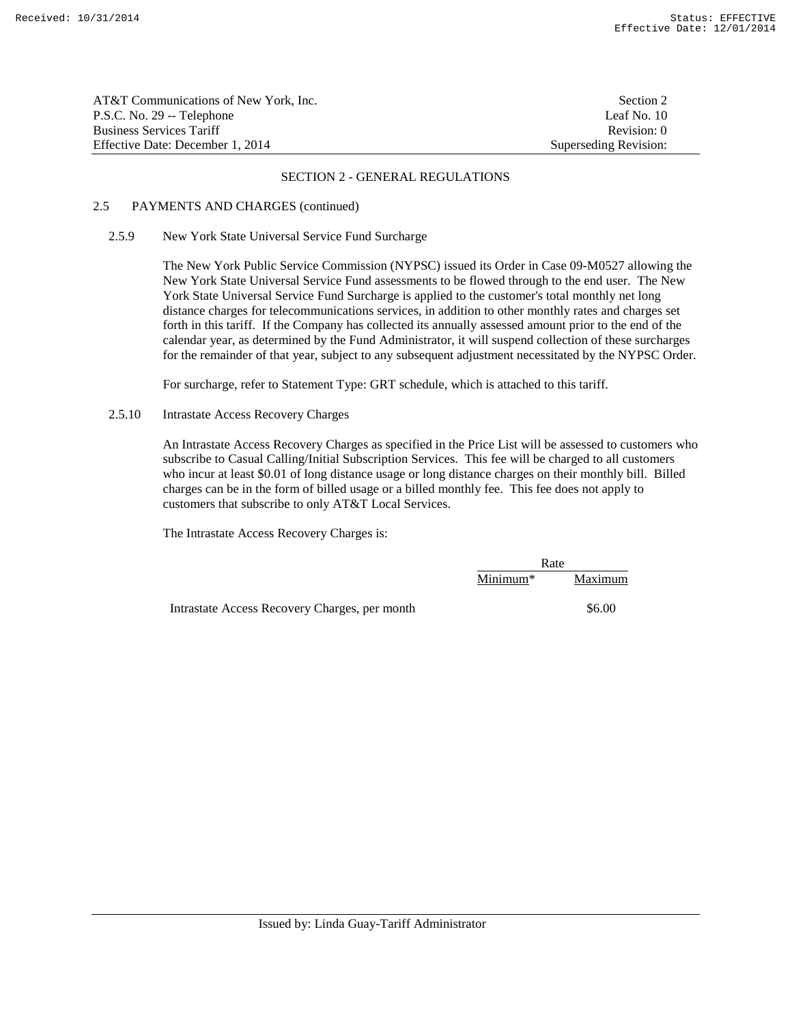| AT&T Communications of New York. Inc. | Section 2             |
|---------------------------------------|-----------------------|
| P.S.C. No. 29 -- Telephone            | Leaf No. 10           |
| <b>Business Services Tariff</b>       | Revision: 0           |
| Effective Date: December 1, 2014      | Superseding Revision: |

### 2.5 PAYMENTS AND CHARGES (continued)

### 2.5.9 New York State Universal Service Fund Surcharge

 The New York Public Service Commission (NYPSC) issued its Order in Case 09-M0527 allowing the New York State Universal Service Fund assessments to be flowed through to the end user. The New York State Universal Service Fund Surcharge is applied to the customer's total monthly net long distance charges for telecommunications services, in addition to other monthly rates and charges set forth in this tariff. If the Company has collected its annually assessed amount prior to the end of the calendar year, as determined by the Fund Administrator, it will suspend collection of these surcharges for the remainder of that year, subject to any subsequent adjustment necessitated by the NYPSC Order.

For surcharge, refer to Statement Type: GRT schedule, which is attached to this tariff.

## 2.5.10 Intrastate Access Recovery Charges

 An Intrastate Access Recovery Charges as specified in the Price List will be assessed to customers who subscribe to Casual Calling/Initial Subscription Services. This fee will be charged to all customers who incur at least \$0.01 of long distance usage or long distance charges on their monthly bill. Billed charges can be in the form of billed usage or a billed monthly fee. This fee does not apply to customers that subscribe to only AT&T Local Services.

The Intrastate Access Recovery Charges is:

|                                               | Rate       |         |
|-----------------------------------------------|------------|---------|
|                                               | $Minimum*$ | Maximum |
| Intrastate Access Recovery Charges, per month |            | \$6.00  |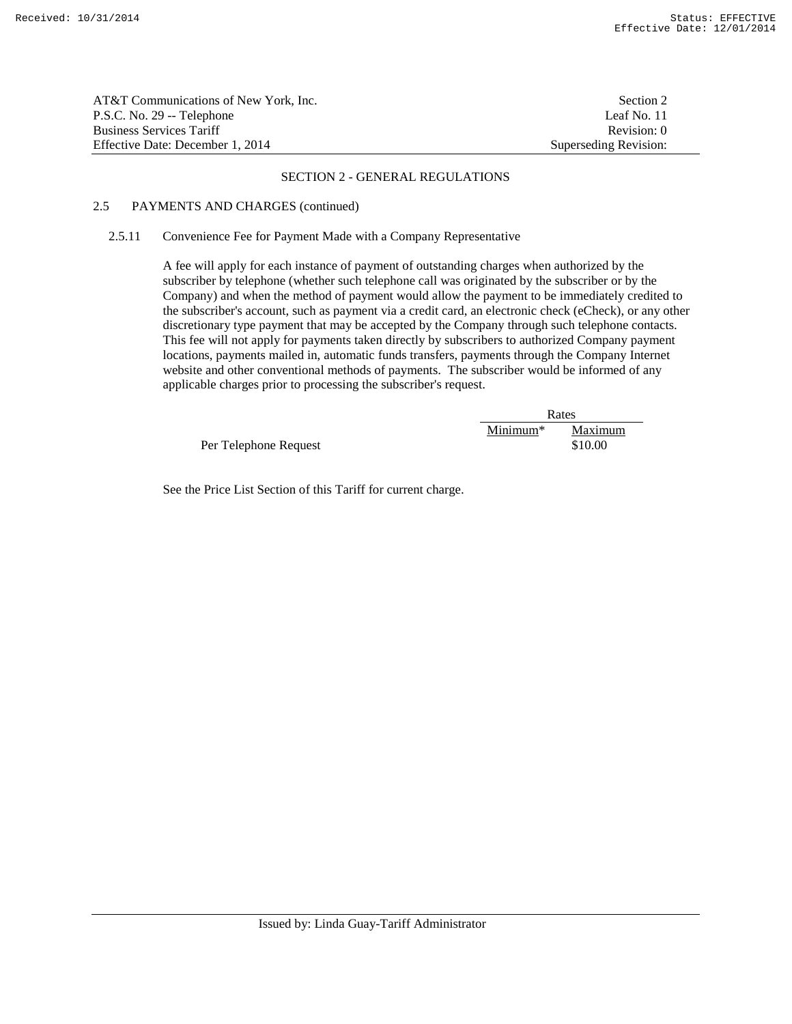| AT&T Communications of New York, Inc. | Section 2             |
|---------------------------------------|-----------------------|
| P.S.C. No. 29 -- Telephone            | Leaf No. 11           |
| Business Services Tariff              | Revision: 0           |
| Effective Date: December 1, 2014      | Superseding Revision: |

### 2.5 PAYMENTS AND CHARGES (continued)

### 2.5.11 Convenience Fee for Payment Made with a Company Representative

 A fee will apply for each instance of payment of outstanding charges when authorized by the subscriber by telephone (whether such telephone call was originated by the subscriber or by the Company) and when the method of payment would allow the payment to be immediately credited to the subscriber's account, such as payment via a credit card, an electronic check (eCheck), or any other discretionary type payment that may be accepted by the Company through such telephone contacts. This fee will not apply for payments taken directly by subscribers to authorized Company payment locations, payments mailed in, automatic funds transfers, payments through the Company Internet website and other conventional methods of payments. The subscriber would be informed of any applicable charges prior to processing the subscriber's request.

|                       | Rates      |                    |
|-----------------------|------------|--------------------|
| Per Telephone Request | $Minimum*$ | Maximum<br>\$10.00 |

See the Price List Section of this Tariff for current charge.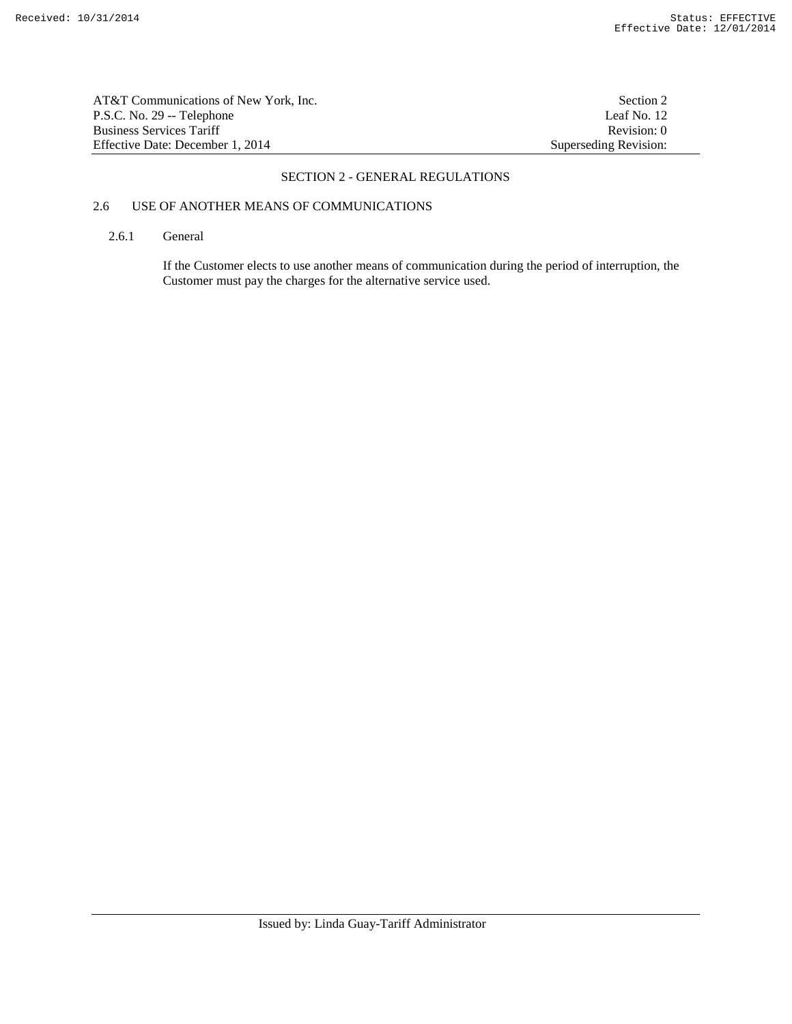AT&T Communications of New York, Inc.<br>
P.S.C. No. 29 -- Telephone Leaf No. 12 P.S.C. No. 29 -- Telephone Business Services Tariff Revision: 0<br>
Effective Date: December 1, 2014 Superseding Revision: 0 Effective Date: December 1, 2014

### SECTION 2 - GENERAL REGULATIONS

# 2.6 USE OF ANOTHER MEANS OF COMMUNICATIONS

### 2.6.1 General

 If the Customer elects to use another means of communication during the period of interruption, the Customer must pay the charges for the alternative service used.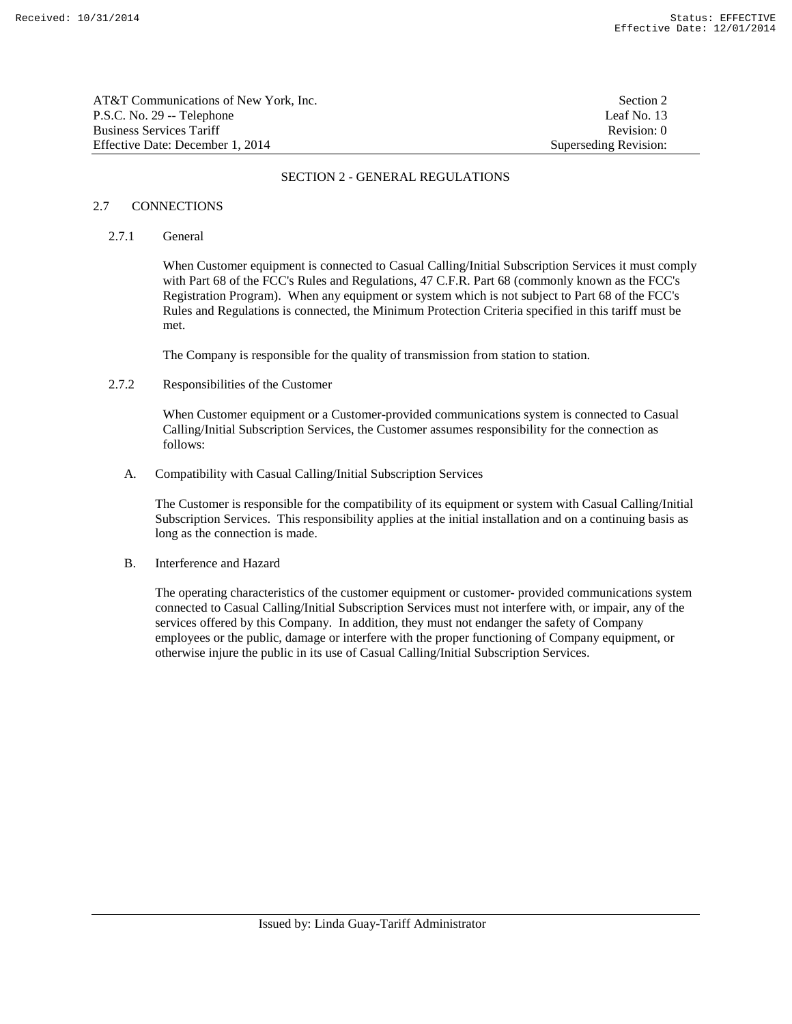| AT&T Communications of New York. Inc. | Section 2             |
|---------------------------------------|-----------------------|
| P.S.C. No. 29 -- Telephone            | Leaf No. 13           |
| Business Services Tariff              | Revision: 0           |
| Effective Date: December 1, 2014      | Superseding Revision: |

#### 2.7 CONNECTIONS

### 2.7.1 General

 When Customer equipment is connected to Casual Calling/Initial Subscription Services it must comply with Part 68 of the FCC's Rules and Regulations, 47 C.F.R. Part 68 (commonly known as the FCC's Registration Program). When any equipment or system which is not subject to Part 68 of the FCC's Rules and Regulations is connected, the Minimum Protection Criteria specified in this tariff must be met.

The Company is responsible for the quality of transmission from station to station.

## 2.7.2 Responsibilities of the Customer

 When Customer equipment or a Customer-provided communications system is connected to Casual Calling/Initial Subscription Services, the Customer assumes responsibility for the connection as follows:

A. Compatibility with Casual Calling/Initial Subscription Services

 The Customer is responsible for the compatibility of its equipment or system with Casual Calling/Initial Subscription Services. This responsibility applies at the initial installation and on a continuing basis as long as the connection is made.

B. Interference and Hazard

 The operating characteristics of the customer equipment or customer- provided communications system connected to Casual Calling/Initial Subscription Services must not interfere with, or impair, any of the services offered by this Company. In addition, they must not endanger the safety of Company employees or the public, damage or interfere with the proper functioning of Company equipment, or otherwise injure the public in its use of Casual Calling/Initial Subscription Services.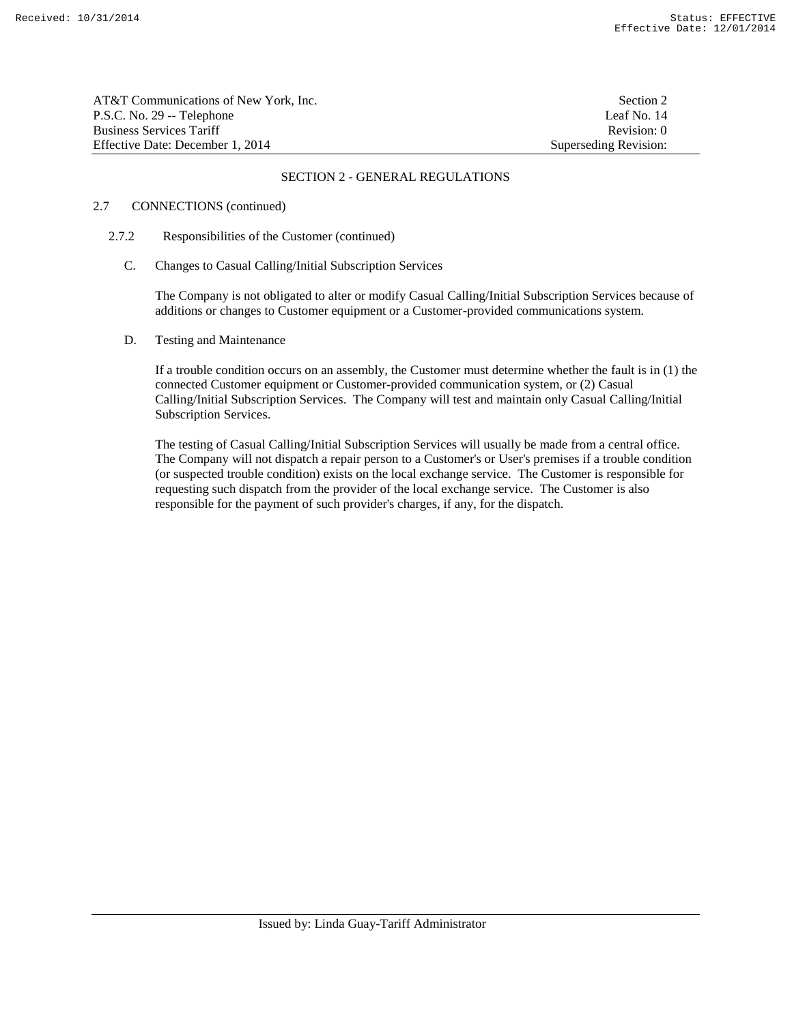| AT&T Communications of New York. Inc. | Section 2             |
|---------------------------------------|-----------------------|
| P.S.C. No. 29 -- Telephone            | Leaf No. 14           |
| <b>Business Services Tariff</b>       | Revision: 0           |
| Effective Date: December 1, 2014      | Superseding Revision: |

### 2.7 CONNECTIONS (continued)

### 2.7.2 Responsibilities of the Customer (continued)

C. Changes to Casual Calling/Initial Subscription Services

 The Company is not obligated to alter or modify Casual Calling/Initial Subscription Services because of additions or changes to Customer equipment or a Customer-provided communications system.

### D. Testing and Maintenance

 If a trouble condition occurs on an assembly, the Customer must determine whether the fault is in (1) the connected Customer equipment or Customer-provided communication system, or (2) Casual Calling/Initial Subscription Services. The Company will test and maintain only Casual Calling/Initial Subscription Services.

 The testing of Casual Calling/Initial Subscription Services will usually be made from a central office. The Company will not dispatch a repair person to a Customer's or User's premises if a trouble condition (or suspected trouble condition) exists on the local exchange service. The Customer is responsible for requesting such dispatch from the provider of the local exchange service. The Customer is also responsible for the payment of such provider's charges, if any, for the dispatch.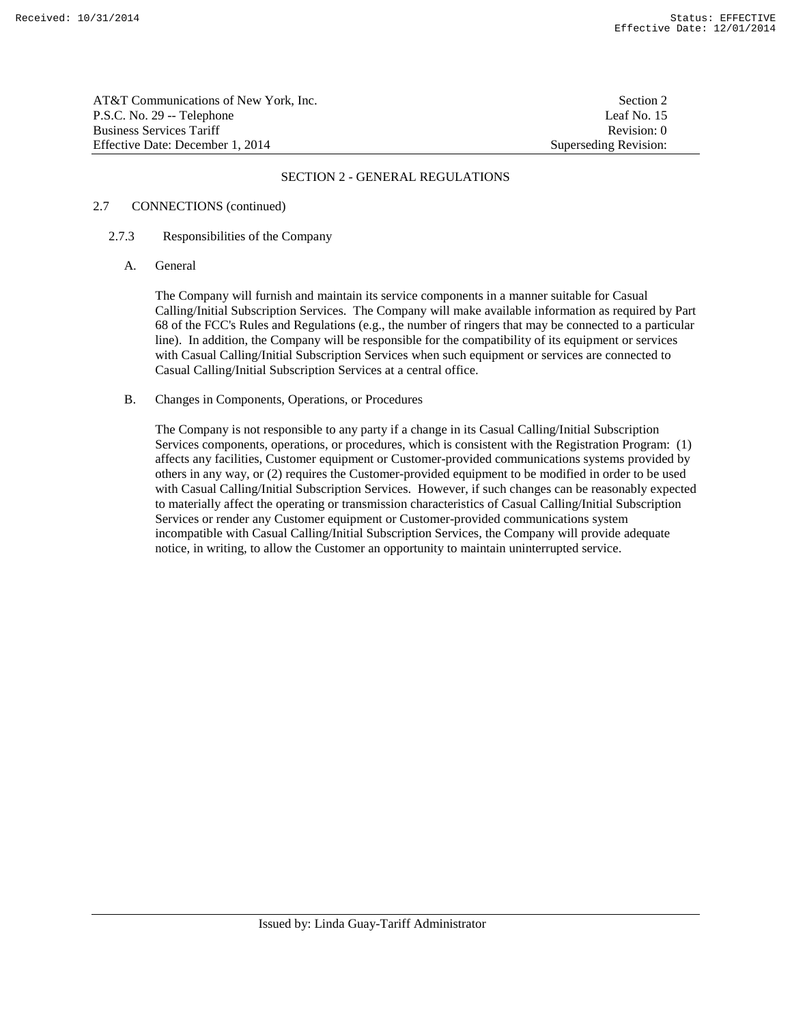AT&T Communications of New York, Inc. Section 2 P.S.C. No. 29 -- Telephone Leaf No. 15 Business Services Tariff **Revision:** 0 Effective Date: December 1, 2014 Superseding Revision:

## SECTION 2 - GENERAL REGULATIONS

## 2.7 CONNECTIONS (continued)

### 2.7.3 Responsibilities of the Company

A. General

 The Company will furnish and maintain its service components in a manner suitable for Casual Calling/Initial Subscription Services. The Company will make available information as required by Part 68 of the FCC's Rules and Regulations (e.g., the number of ringers that may be connected to a particular line). In addition, the Company will be responsible for the compatibility of its equipment or services with Casual Calling/Initial Subscription Services when such equipment or services are connected to Casual Calling/Initial Subscription Services at a central office.

B. Changes in Components, Operations, or Procedures

 The Company is not responsible to any party if a change in its Casual Calling/Initial Subscription Services components, operations, or procedures, which is consistent with the Registration Program: (1) affects any facilities, Customer equipment or Customer-provided communications systems provided by others in any way, or (2) requires the Customer-provided equipment to be modified in order to be used with Casual Calling/Initial Subscription Services. However, if such changes can be reasonably expected to materially affect the operating or transmission characteristics of Casual Calling/Initial Subscription Services or render any Customer equipment or Customer-provided communications system incompatible with Casual Calling/Initial Subscription Services, the Company will provide adequate notice, in writing, to allow the Customer an opportunity to maintain uninterrupted service.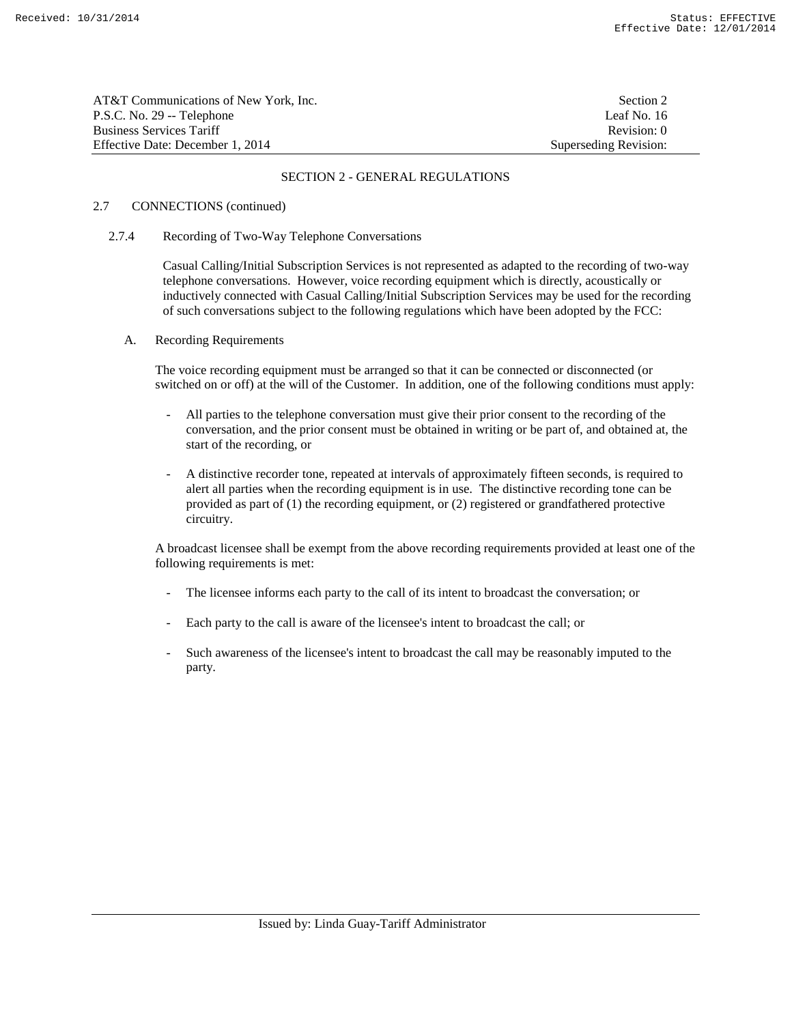| AT&T Communications of New York. Inc. | Section 2             |
|---------------------------------------|-----------------------|
| P.S.C. No. 29 -- Telephone            | Leaf No. 16           |
| <b>Business Services Tariff</b>       | Revision: 0           |
| Effective Date: December 1, 2014      | Superseding Revision: |

#### 2.7 CONNECTIONS (continued)

#### 2.7.4 Recording of Two-Way Telephone Conversations

 Casual Calling/Initial Subscription Services is not represented as adapted to the recording of two-way telephone conversations. However, voice recording equipment which is directly, acoustically or inductively connected with Casual Calling/Initial Subscription Services may be used for the recording of such conversations subject to the following regulations which have been adopted by the FCC:

### A. Recording Requirements

 The voice recording equipment must be arranged so that it can be connected or disconnected (or switched on or off) at the will of the Customer. In addition, one of the following conditions must apply:

- All parties to the telephone conversation must give their prior consent to the recording of the conversation, and the prior consent must be obtained in writing or be part of, and obtained at, the start of the recording, or
- A distinctive recorder tone, repeated at intervals of approximately fifteen seconds, is required to alert all parties when the recording equipment is in use. The distinctive recording tone can be provided as part of (1) the recording equipment, or (2) registered or grandfathered protective circuitry.

 A broadcast licensee shall be exempt from the above recording requirements provided at least one of the following requirements is met:

- The licensee informs each party to the call of its intent to broadcast the conversation; or
- Each party to the call is aware of the licensee's intent to broadcast the call; or
- Such awareness of the licensee's intent to broadcast the call may be reasonably imputed to the party.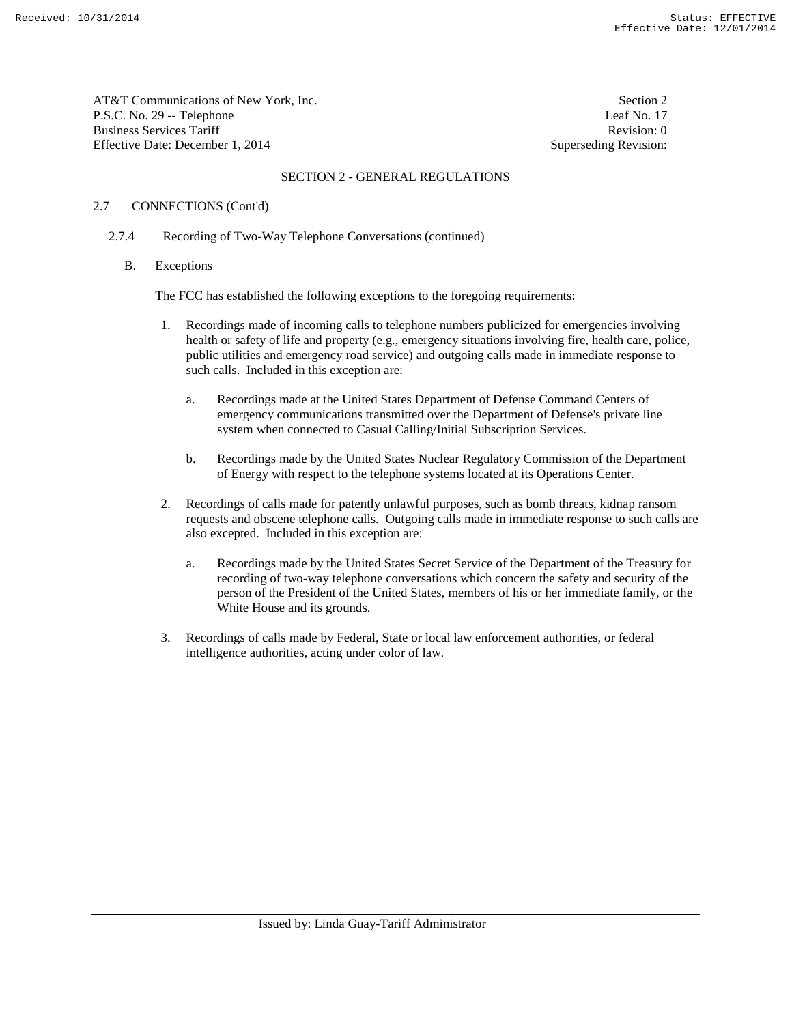| AT&T Communications of New York, Inc. | Section 2             |
|---------------------------------------|-----------------------|
| P.S.C. No. 29 -- Telephone            | Leaf No. 17           |
| <b>Business Services Tariff</b>       | Revision: 0           |
| Effective Date: December 1, 2014      | Superseding Revision: |

### 2.7 CONNECTIONS (Cont'd)

### 2.7.4 Recording of Two-Way Telephone Conversations (continued)

B. Exceptions

The FCC has established the following exceptions to the foregoing requirements:

- 1. Recordings made of incoming calls to telephone numbers publicized for emergencies involving health or safety of life and property (e.g., emergency situations involving fire, health care, police, public utilities and emergency road service) and outgoing calls made in immediate response to such calls. Included in this exception are:
	- a. Recordings made at the United States Department of Defense Command Centers of emergency communications transmitted over the Department of Defense's private line system when connected to Casual Calling/Initial Subscription Services.
	- b. Recordings made by the United States Nuclear Regulatory Commission of the Department of Energy with respect to the telephone systems located at its Operations Center.
- 2. Recordings of calls made for patently unlawful purposes, such as bomb threats, kidnap ransom requests and obscene telephone calls. Outgoing calls made in immediate response to such calls are also excepted. Included in this exception are:
	- a. Recordings made by the United States Secret Service of the Department of the Treasury for recording of two-way telephone conversations which concern the safety and security of the person of the President of the United States, members of his or her immediate family, or the White House and its grounds.
- 3. Recordings of calls made by Federal, State or local law enforcement authorities, or federal intelligence authorities, acting under color of law.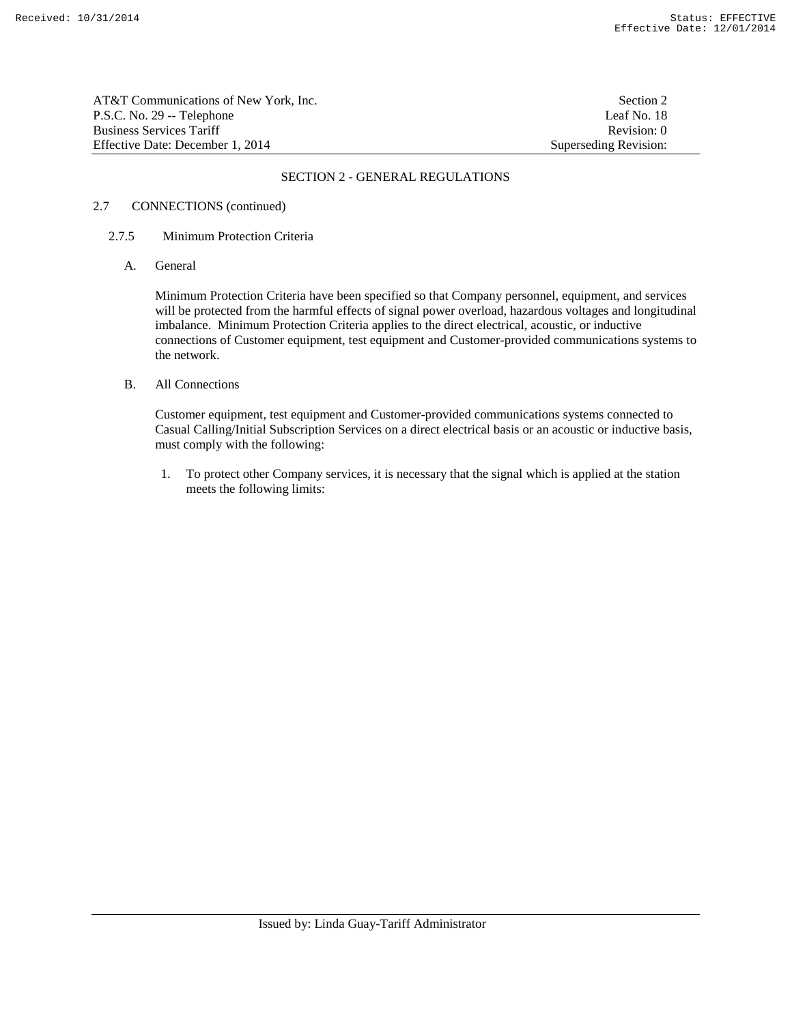AT&T Communications of New York, Inc. Section 2 P.S.C. No. 29 -- Telephone Leaf No. 18 Business Services Tariff **Revision:** 0 Effective Date: December 1, 2014 Superseding Revision:

## SECTION 2 - GENERAL REGULATIONS

## 2.7 CONNECTIONS (continued)

### 2.7.5 Minimum Protection Criteria

A. General

 Minimum Protection Criteria have been specified so that Company personnel, equipment, and services will be protected from the harmful effects of signal power overload, hazardous voltages and longitudinal imbalance. Minimum Protection Criteria applies to the direct electrical, acoustic, or inductive connections of Customer equipment, test equipment and Customer-provided communications systems to the network.

B. All Connections

 Customer equipment, test equipment and Customer-provided communications systems connected to Casual Calling/Initial Subscription Services on a direct electrical basis or an acoustic or inductive basis, must comply with the following:

 1. To protect other Company services, it is necessary that the signal which is applied at the station meets the following limits: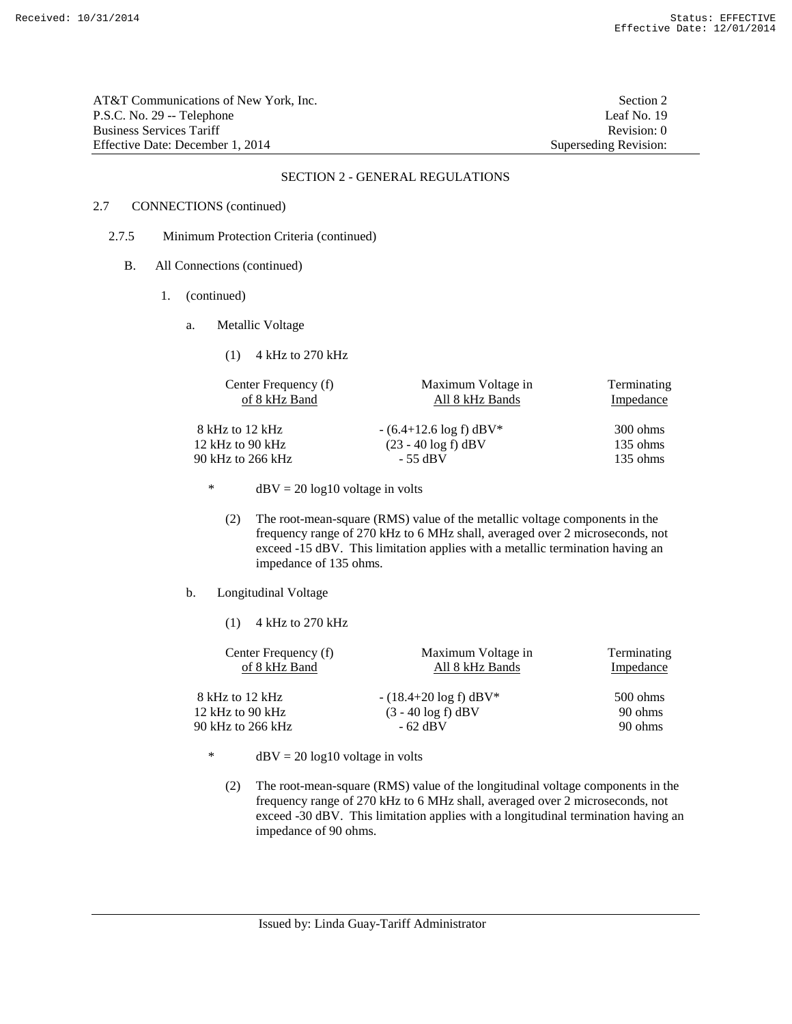AT&T Communications of New York, Inc. Section 2 P.S.C. No. 29 -- Telephone Leaf No. 19 Business Services Tariff **Revision:** 0 Effective Date: December 1, 2014 Superseding Revision:

#### SECTION 2 - GENERAL REGULATIONS

## 2.7 CONNECTIONS (continued)

- 2.7.5 Minimum Protection Criteria (continued)
	- B. All Connections (continued)
		- 1. (continued)
			- a. Metallic Voltage

(1) 4 kHz to 270 kHz

| Center Frequency (f) | Maximum Voltage in        | Terminating        |
|----------------------|---------------------------|--------------------|
| of 8 kHz Band        | All 8 kHz Bands           | Impedance          |
| 8 kHz to 12 kHz      | $-(6.4+12.6 \log f)$ dBV* | $300 \text{ ohms}$ |
| 12 kHz to 90 kHz     | $(23 - 40 \log f)$ dBV    | $135 \text{ ohms}$ |
| 90 kHz to 266 kHz    | - 55 dBV                  | $135 \text{ ohms}$ |

\* dBV =  $20 \log 10$  voltage in volts

- (2) The root-mean-square (RMS) value of the metallic voltage components in the frequency range of 270 kHz to 6 MHz shall, averaged over 2 microseconds, not exceed -15 dBV. This limitation applies with a metallic termination having an impedance of 135 ohms.
- b. Longitudinal Voltage
	- (1) 4 kHz to 270 kHz

| Center Frequency (f)<br>of 8 kHz Band | Maximum Voltage in<br>All 8 kHz Bands | Terminating<br>Impedance |
|---------------------------------------|---------------------------------------|--------------------------|
| 8 kHz to 12 kHz                       | $-(18.4+20 \log f)$ dBV*              | $500 \text{ ohms}$       |
| 12 kHz to 90 kHz                      | $(3 - 40 \log f)$ dBV                 | 90 ohms                  |
| 90 kHz to 266 kHz                     | $-62$ dBV                             | 90 ohms                  |

\* dBV =  $20 \log 10$  voltage in volts

 (2) The root-mean-square (RMS) value of the longitudinal voltage components in the frequency range of 270 kHz to 6 MHz shall, averaged over 2 microseconds, not exceed -30 dBV. This limitation applies with a longitudinal termination having an impedance of 90 ohms.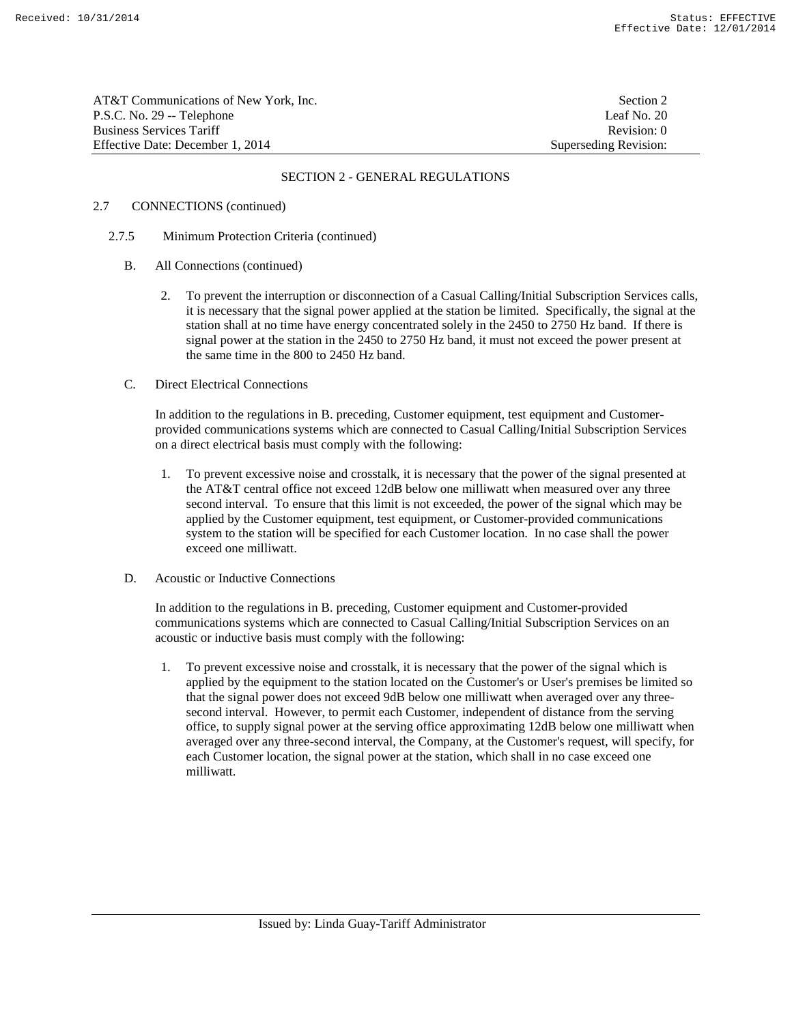| AT&T Communications of New York. Inc. | Section 2             |
|---------------------------------------|-----------------------|
| P.S.C. No. 29 -- Telephone            | Leaf No. 20           |
| Business Services Tariff              | Revision: 0           |
| Effective Date: December 1. 2014      | Superseding Revision: |

## 2.7 CONNECTIONS (continued)

### 2.7.5 Minimum Protection Criteria (continued)

- B. All Connections (continued)
	- 2. To prevent the interruption or disconnection of a Casual Calling/Initial Subscription Services calls, it is necessary that the signal power applied at the station be limited. Specifically, the signal at the station shall at no time have energy concentrated solely in the 2450 to 2750 Hz band. If there is signal power at the station in the 2450 to 2750 Hz band, it must not exceed the power present at the same time in the 800 to 2450 Hz band.

### C. Direct Electrical Connections

 In addition to the regulations in B. preceding, Customer equipment, test equipment and Customerprovided communications systems which are connected to Casual Calling/Initial Subscription Services on a direct electrical basis must comply with the following:

 1. To prevent excessive noise and crosstalk, it is necessary that the power of the signal presented at the AT&T central office not exceed 12dB below one milliwatt when measured over any three second interval. To ensure that this limit is not exceeded, the power of the signal which may be applied by the Customer equipment, test equipment, or Customer-provided communications system to the station will be specified for each Customer location. In no case shall the power exceed one milliwatt.

### D. Acoustic or Inductive Connections

 In addition to the regulations in B. preceding, Customer equipment and Customer-provided communications systems which are connected to Casual Calling/Initial Subscription Services on an acoustic or inductive basis must comply with the following:

 1. To prevent excessive noise and crosstalk, it is necessary that the power of the signal which is applied by the equipment to the station located on the Customer's or User's premises be limited so that the signal power does not exceed 9dB below one milliwatt when averaged over any threesecond interval. However, to permit each Customer, independent of distance from the serving office, to supply signal power at the serving office approximating 12dB below one milliwatt when averaged over any three-second interval, the Company, at the Customer's request, will specify, for each Customer location, the signal power at the station, which shall in no case exceed one milliwatt.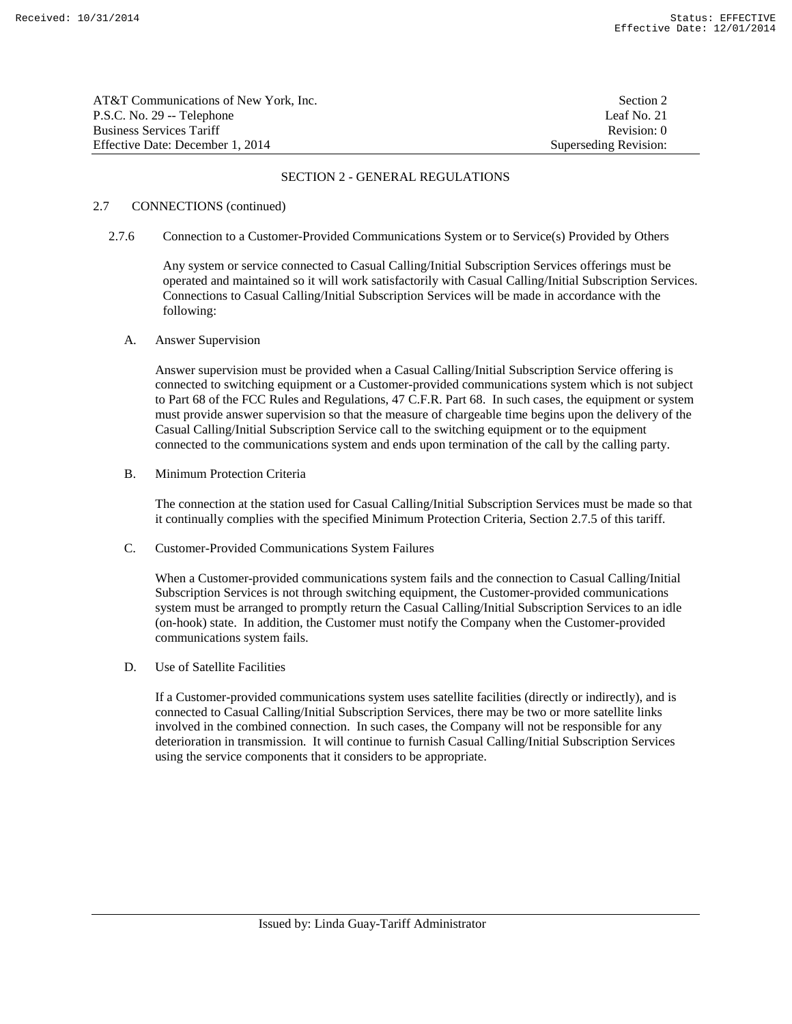| AT&T Communications of New York, Inc. | Section 2             |
|---------------------------------------|-----------------------|
| P.S.C. No. 29 -- Telephone            | Leaf No. 21           |
| <b>Business Services Tariff</b>       | Revision: 0           |
| Effective Date: December 1, 2014      | Superseding Revision: |

#### 2.7 CONNECTIONS (continued)

2.7.6 Connection to a Customer-Provided Communications System or to Service(s) Provided by Others

 Any system or service connected to Casual Calling/Initial Subscription Services offerings must be operated and maintained so it will work satisfactorily with Casual Calling/Initial Subscription Services. Connections to Casual Calling/Initial Subscription Services will be made in accordance with the following:

#### A. Answer Supervision

 Answer supervision must be provided when a Casual Calling/Initial Subscription Service offering is connected to switching equipment or a Customer-provided communications system which is not subject to Part 68 of the FCC Rules and Regulations, 47 C.F.R. Part 68. In such cases, the equipment or system must provide answer supervision so that the measure of chargeable time begins upon the delivery of the Casual Calling/Initial Subscription Service call to the switching equipment or to the equipment connected to the communications system and ends upon termination of the call by the calling party.

B. Minimum Protection Criteria

 The connection at the station used for Casual Calling/Initial Subscription Services must be made so that it continually complies with the specified Minimum Protection Criteria, Section 2.7.5 of this tariff.

C. Customer-Provided Communications System Failures

 When a Customer-provided communications system fails and the connection to Casual Calling/Initial Subscription Services is not through switching equipment, the Customer-provided communications system must be arranged to promptly return the Casual Calling/Initial Subscription Services to an idle (on-hook) state. In addition, the Customer must notify the Company when the Customer-provided communications system fails.

D. Use of Satellite Facilities

 If a Customer-provided communications system uses satellite facilities (directly or indirectly), and is connected to Casual Calling/Initial Subscription Services, there may be two or more satellite links involved in the combined connection. In such cases, the Company will not be responsible for any deterioration in transmission. It will continue to furnish Casual Calling/Initial Subscription Services using the service components that it considers to be appropriate.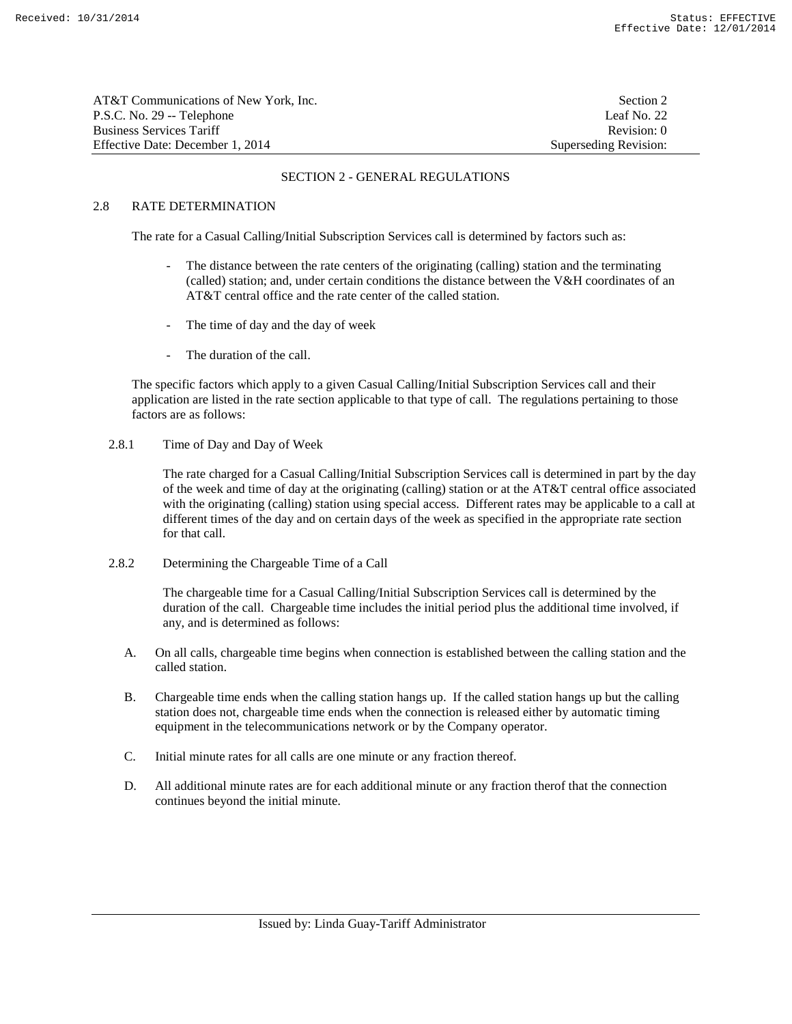| AT&T Communications of New York, Inc. | Section 2             |
|---------------------------------------|-----------------------|
| P.S.C. No. 29 -- Telephone            | Leaf No. 22           |
| <b>Business Services Tariff</b>       | Revision: 0           |
| Effective Date: December 1, 2014      | Superseding Revision: |

## 2.8 RATE DETERMINATION

The rate for a Casual Calling/Initial Subscription Services call is determined by factors such as:

- The distance between the rate centers of the originating (calling) station and the terminating (called) station; and, under certain conditions the distance between the V&H coordinates of an AT&T central office and the rate center of the called station.
- The time of day and the day of week
- The duration of the call.

 The specific factors which apply to a given Casual Calling/Initial Subscription Services call and their application are listed in the rate section applicable to that type of call. The regulations pertaining to those factors are as follows:

2.8.1 Time of Day and Day of Week

 The rate charged for a Casual Calling/Initial Subscription Services call is determined in part by the day of the week and time of day at the originating (calling) station or at the AT&T central office associated with the originating (calling) station using special access. Different rates may be applicable to a call at different times of the day and on certain days of the week as specified in the appropriate rate section for that call.

2.8.2 Determining the Chargeable Time of a Call

 The chargeable time for a Casual Calling/Initial Subscription Services call is determined by the duration of the call. Chargeable time includes the initial period plus the additional time involved, if any, and is determined as follows:

- A. On all calls, chargeable time begins when connection is established between the calling station and the called station.
- B. Chargeable time ends when the calling station hangs up. If the called station hangs up but the calling station does not, chargeable time ends when the connection is released either by automatic timing equipment in the telecommunications network or by the Company operator.
- C. Initial minute rates for all calls are one minute or any fraction thereof.
- D. All additional minute rates are for each additional minute or any fraction therof that the connection continues beyond the initial minute.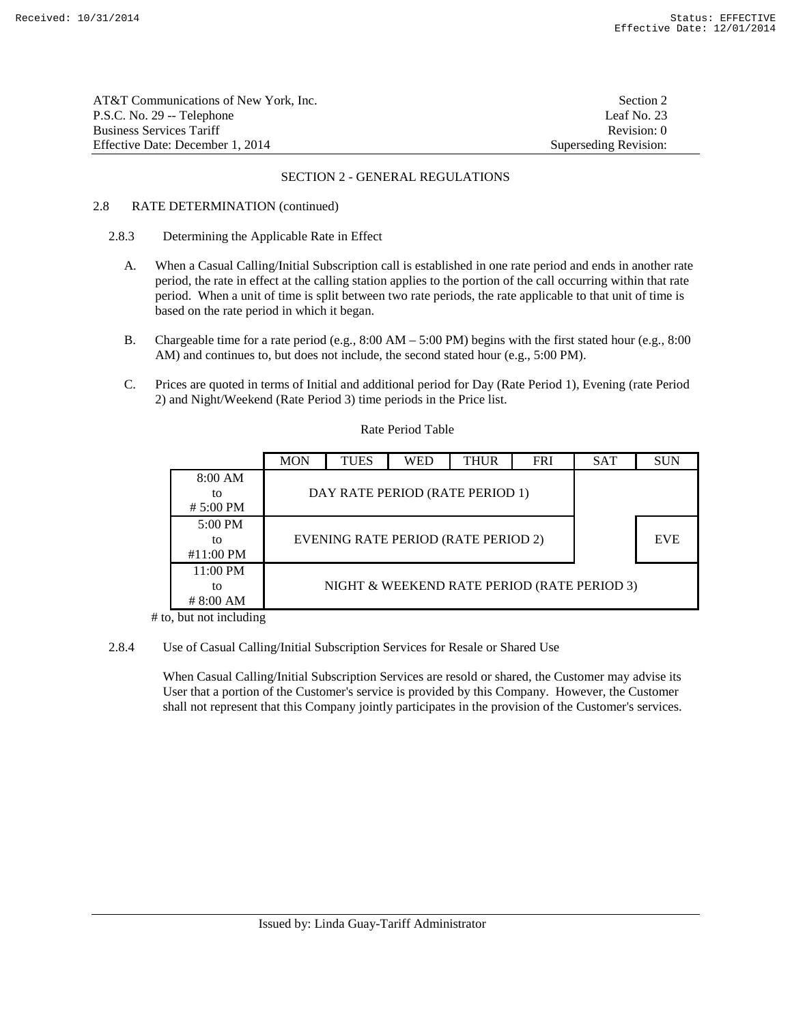| AT&T Communications of New York. Inc. | Section 2             |
|---------------------------------------|-----------------------|
| P.S.C. No. 29 -- Telephone            | Leaf No. $23$         |
| <b>Business Services Tariff</b>       | Revision: 0           |
| Effective Date: December 1, 2014      | Superseding Revision: |

### 2.8 RATE DETERMINATION (continued)

### 2.8.3 Determining the Applicable Rate in Effect

- A. When a Casual Calling/Initial Subscription call is established in one rate period and ends in another rate period, the rate in effect at the calling station applies to the portion of the call occurring within that rate period. When a unit of time is split between two rate periods, the rate applicable to that unit of time is based on the rate period in which it began.
- B. Chargeable time for a rate period (e.g.,  $8:00 \text{ AM} 5:00 \text{ PM}$ ) begins with the first stated hour (e.g.,  $8:00 \text{ AM}$ ) AM) and continues to, but does not include, the second stated hour (e.g., 5:00 PM).
- C. Prices are quoted in terms of Initial and additional period for Day (Rate Period 1), Evening (rate Period 2) and Night/Weekend (Rate Period 3) time periods in the Price list.

#### Rate Period Table

|                             | <b>MON</b>                                  | <b>TUES</b> | <b>WED</b> | <b>THUR</b> | <b>FRI</b> | <b>SAT</b> | <b>SUN</b> |
|-----------------------------|---------------------------------------------|-------------|------------|-------------|------------|------------|------------|
| 8:00 AM<br>to<br># 5:00 PM  | DAY RATE PERIOD (RATE PERIOD 1)             |             |            |             |            |            |            |
| 5:00 PM<br>tο<br>#11:00 PM  | EVENING RATE PERIOD (RATE PERIOD 2)         |             |            |             |            |            | <b>EVE</b> |
| 11:00 PM<br>to<br># 8:00 AM | NIGHT & WEEKEND RATE PERIOD (RATE PERIOD 3) |             |            |             |            |            |            |

# to, but not including

#### 2.8.4 Use of Casual Calling/Initial Subscription Services for Resale or Shared Use

 When Casual Calling/Initial Subscription Services are resold or shared, the Customer may advise its User that a portion of the Customer's service is provided by this Company. However, the Customer shall not represent that this Company jointly participates in the provision of the Customer's services.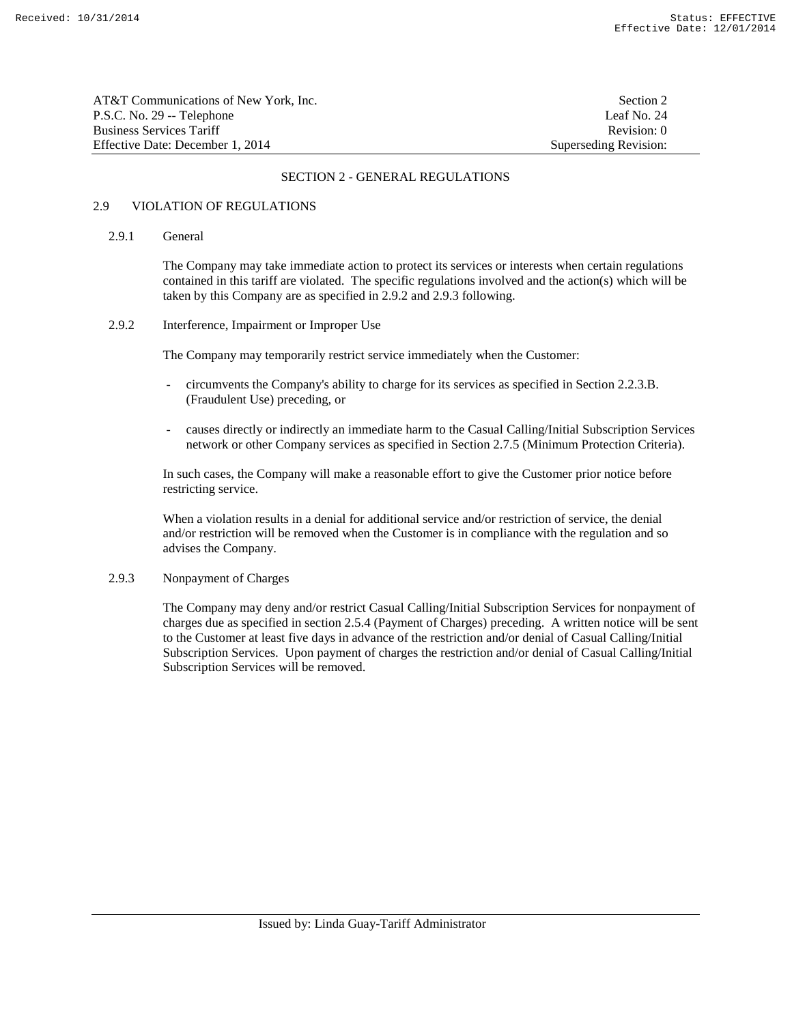| AT&T Communications of New York. Inc. | Section 2             |
|---------------------------------------|-----------------------|
| P.S.C. No. 29 -- Telephone            | Leaf No. $24$         |
| <b>Business Services Tariff</b>       | Revision: 0           |
| Effective Date: December 1, 2014      | Superseding Revision: |

### 2.9 VIOLATION OF REGULATIONS

### 2.9.1 General

 The Company may take immediate action to protect its services or interests when certain regulations contained in this tariff are violated. The specific regulations involved and the action(s) which will be taken by this Company are as specified in 2.9.2 and 2.9.3 following.

### 2.9.2 Interference, Impairment or Improper Use

The Company may temporarily restrict service immediately when the Customer:

- circumvents the Company's ability to charge for its services as specified in Section 2.2.3.B. (Fraudulent Use) preceding, or
- causes directly or indirectly an immediate harm to the Casual Calling/Initial Subscription Services network or other Company services as specified in Section 2.7.5 (Minimum Protection Criteria).

 In such cases, the Company will make a reasonable effort to give the Customer prior notice before restricting service.

When a violation results in a denial for additional service and/or restriction of service, the denial and/or restriction will be removed when the Customer is in compliance with the regulation and so advises the Company.

#### 2.9.3 Nonpayment of Charges

 The Company may deny and/or restrict Casual Calling/Initial Subscription Services for nonpayment of charges due as specified in section 2.5.4 (Payment of Charges) preceding. A written notice will be sent to the Customer at least five days in advance of the restriction and/or denial of Casual Calling/Initial Subscription Services. Upon payment of charges the restriction and/or denial of Casual Calling/Initial Subscription Services will be removed.